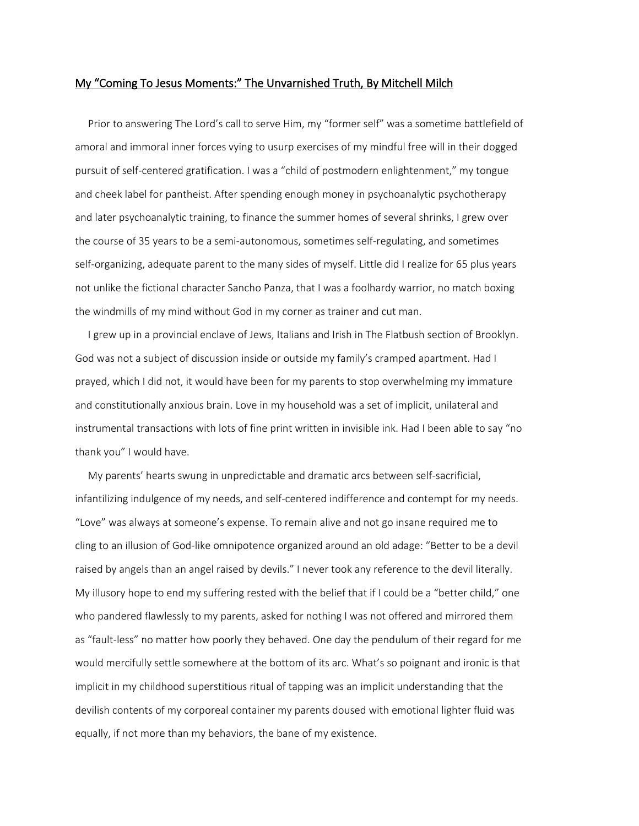## My "Coming To Jesus Moments:" The Unvarnished Truth, By Mitchell Milch

 Prior to answering The Lord's call to serve Him, my "former self" was a sometime battlefield of amoral and immoral inner forces vying to usurp exercises of my mindful free will in their dogged pursuit of self-centered gratification. I was a "child of postmodern enlightenment," my tongue and cheek label for pantheist. After spending enough money in psychoanalytic psychotherapy and later psychoanalytic training, to finance the summer homes of several shrinks, I grew over the course of 35 years to be a semi-autonomous, sometimes self-regulating, and sometimes self-organizing, adequate parent to the many sides of myself. Little did I realize for 65 plus years not unlike the fictional character Sancho Panza, that I was a foolhardy warrior, no match boxing the windmills of my mind without God in my corner as trainer and cut man.

 I grew up in a provincial enclave of Jews, Italians and Irish in The Flatbush section of Brooklyn. God was not a subject of discussion inside or outside my family's cramped apartment. Had I prayed, which I did not, it would have been for my parents to stop overwhelming my immature and constitutionally anxious brain. Love in my household was a set of implicit, unilateral and instrumental transactions with lots of fine print written in invisible ink. Had I been able to say "no thank you" I would have.

 My parents' hearts swung in unpredictable and dramatic arcs between self-sacrificial, infantilizing indulgence of my needs, and self-centered indifference and contempt for my needs. "Love" was always at someone's expense. To remain alive and not go insane required me to cling to an illusion of God-like omnipotence organized around an old adage: "Better to be a devil raised by angels than an angel raised by devils." I never took any reference to the devil literally. My illusory hope to end my suffering rested with the belief that if I could be a "better child," one who pandered flawlessly to my parents, asked for nothing I was not offered and mirrored them as "fault-less" no matter how poorly they behaved. One day the pendulum of their regard for me would mercifully settle somewhere at the bottom of its arc. What's so poignant and ironic is that implicit in my childhood superstitious ritual of tapping was an implicit understanding that the devilish contents of my corporeal container my parents doused with emotional lighter fluid was equally, if not more than my behaviors, the bane of my existence.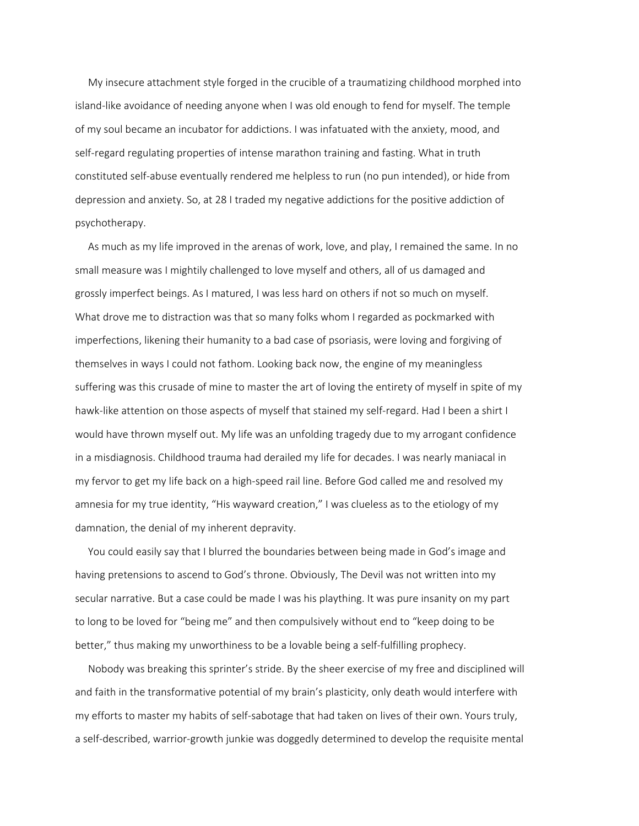My insecure attachment style forged in the crucible of a traumatizing childhood morphed into island-like avoidance of needing anyone when I was old enough to fend for myself. The temple of my soul became an incubator for addictions. I was infatuated with the anxiety, mood, and self-regard regulating properties of intense marathon training and fasting. What in truth constituted self-abuse eventually rendered me helpless to run (no pun intended), or hide from depression and anxiety. So, at 28 I traded my negative addictions for the positive addiction of psychotherapy.

 As much as my life improved in the arenas of work, love, and play, I remained the same. In no small measure was I mightily challenged to love myself and others, all of us damaged and grossly imperfect beings. As I matured, I was less hard on others if not so much on myself. What drove me to distraction was that so many folks whom I regarded as pockmarked with imperfections, likening their humanity to a bad case of psoriasis, were loving and forgiving of themselves in ways I could not fathom. Looking back now, the engine of my meaningless suffering was this crusade of mine to master the art of loving the entirety of myself in spite of my hawk-like attention on those aspects of myself that stained my self-regard. Had I been a shirt I would have thrown myself out. My life was an unfolding tragedy due to my arrogant confidence in a misdiagnosis. Childhood trauma had derailed my life for decades. I was nearly maniacal in my fervor to get my life back on a high-speed rail line. Before God called me and resolved my amnesia for my true identity, "His wayward creation," I was clueless as to the etiology of my damnation, the denial of my inherent depravity.

 You could easily say that I blurred the boundaries between being made in God's image and having pretensions to ascend to God's throne. Obviously, The Devil was not written into my secular narrative. But a case could be made I was his plaything. It was pure insanity on my part to long to be loved for "being me" and then compulsively without end to "keep doing to be better," thus making my unworthiness to be a lovable being a self-fulfilling prophecy.

 Nobody was breaking this sprinter's stride. By the sheer exercise of my free and disciplined will and faith in the transformative potential of my brain's plasticity, only death would interfere with my efforts to master my habits of self-sabotage that had taken on lives of their own. Yours truly, a self-described, warrior-growth junkie was doggedly determined to develop the requisite mental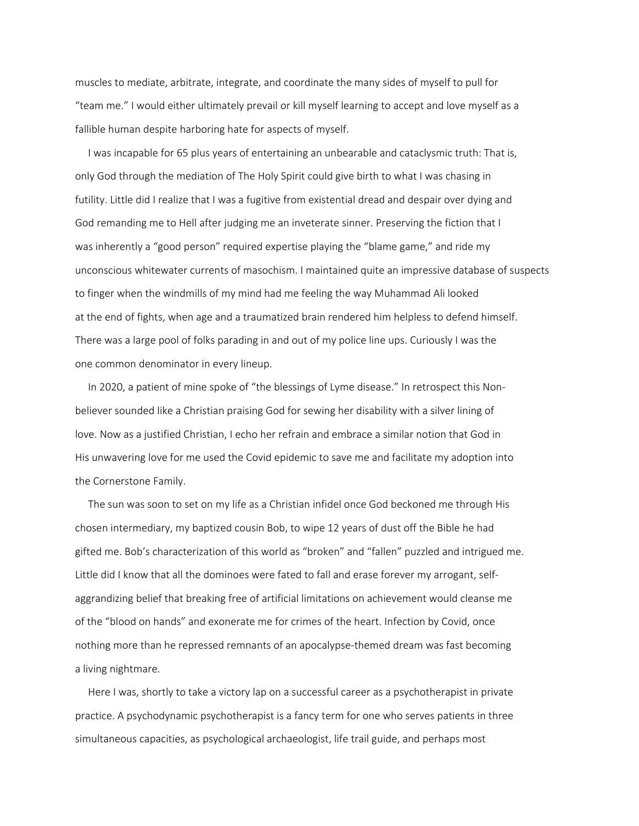muscles to mediate, arbitrate, integrate, and coordinate the many sides of myself to pull for "team me." I would either ultimately prevail or kill myself learning to accept and love myself as a fallible human despite harboring hate for aspects of myself.

 I was incapable for 65 plus years of entertaining an unbearable and cataclysmic truth: That is, only God through the mediation of The Holy Spirit could give birth to what I was chasing in futility. Little did I realize that I was a fugitive from existential dread and despair over dying and God remanding me to Hell after judging me an inveterate sinner. Preserving the fiction that I was inherently a "good person" required expertise playing the "blame game," and ride my unconscious whitewater currents of masochism. I maintained quite an impressive database of suspects to finger when the windmills of my mind had me feeling the way Muhammad Ali looked at the end of fights, when age and a traumatized brain rendered him helpless to defend himself. There was a large pool of folks parading in and out of my police line ups. Curiously I was the one common denominator in every lineup.

 In 2020, a patient of mine spoke of "the blessings of Lyme disease." In retrospect this Nonbeliever sounded like a Christian praising God for sewing her disability with a silver lining of love. Now as a justified Christian, I echo her refrain and embrace a similar notion that God in His unwavering love for me used the Covid epidemic to save me and facilitate my adoption into the Cornerstone Family.

 The sun was soon to set on my life as a Christian infidel once God beckoned me through His chosen intermediary, my baptized cousin Bob, to wipe 12 years of dust off the Bible he had gifted me. Bob's characterization of this world as "broken" and "fallen" puzzled and intrigued me. Little did I know that all the dominoes were fated to fall and erase forever my arrogant, selfaggrandizing belief that breaking free of artificial limitations on achievement would cleanse me of the "blood on hands" and exonerate me for crimes of the heart. Infection by Covid, once nothing more than he repressed remnants of an apocalypse-themed dream was fast becoming a living nightmare.

 Here I was, shortly to take a victory lap on a successful career as a psychotherapist in private practice. A psychodynamic psychotherapist is a fancy term for one who serves patients in three simultaneous capacities, as psychological archaeologist, life trail guide, and perhaps most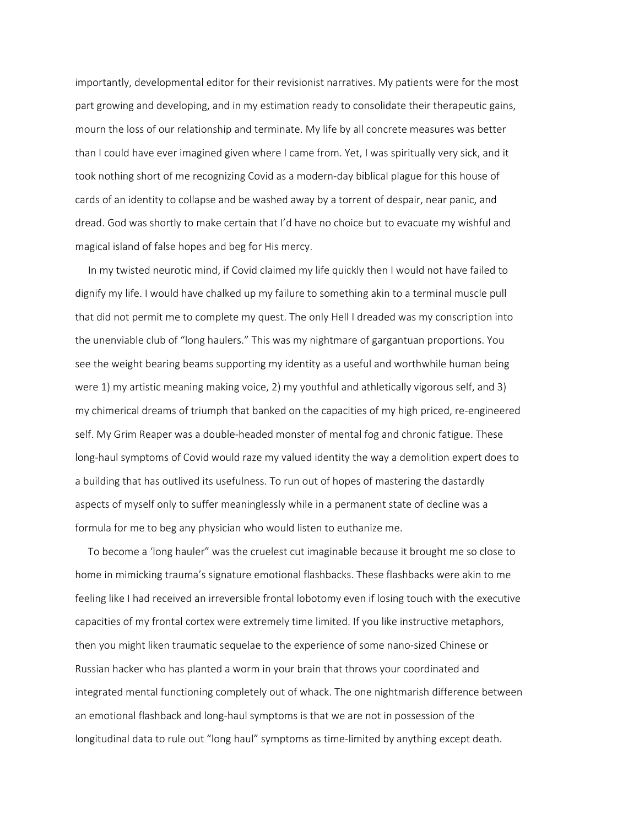importantly, developmental editor for their revisionist narratives. My patients were for the most part growing and developing, and in my estimation ready to consolidate their therapeutic gains, mourn the loss of our relationship and terminate. My life by all concrete measures was better than I could have ever imagined given where I came from. Yet, I was spiritually very sick, and it took nothing short of me recognizing Covid as a modern-day biblical plague for this house of cards of an identity to collapse and be washed away by a torrent of despair, near panic, and dread. God was shortly to make certain that I'd have no choice but to evacuate my wishful and magical island of false hopes and beg for His mercy.

 In my twisted neurotic mind, if Covid claimed my life quickly then I would not have failed to dignify my life. I would have chalked up my failure to something akin to a terminal muscle pull that did not permit me to complete my quest. The only Hell I dreaded was my conscription into the unenviable club of "long haulers." This was my nightmare of gargantuan proportions. You see the weight bearing beams supporting my identity as a useful and worthwhile human being were 1) my artistic meaning making voice, 2) my youthful and athletically vigorous self, and 3) my chimerical dreams of triumph that banked on the capacities of my high priced, re-engineered self. My Grim Reaper was a double-headed monster of mental fog and chronic fatigue. These long-haul symptoms of Covid would raze my valued identity the way a demolition expert does to a building that has outlived its usefulness. To run out of hopes of mastering the dastardly aspects of myself only to suffer meaninglessly while in a permanent state of decline was a formula for me to beg any physician who would listen to euthanize me.

 To become a 'long hauler" was the cruelest cut imaginable because it brought me so close to home in mimicking trauma's signature emotional flashbacks. These flashbacks were akin to me feeling like I had received an irreversible frontal lobotomy even if losing touch with the executive capacities of my frontal cortex were extremely time limited. If you like instructive metaphors, then you might liken traumatic sequelae to the experience of some nano-sized Chinese or Russian hacker who has planted a worm in your brain that throws your coordinated and integrated mental functioning completely out of whack. The one nightmarish difference between an emotional flashback and long-haul symptoms is that we are not in possession of the longitudinal data to rule out "long haul" symptoms as time-limited by anything except death.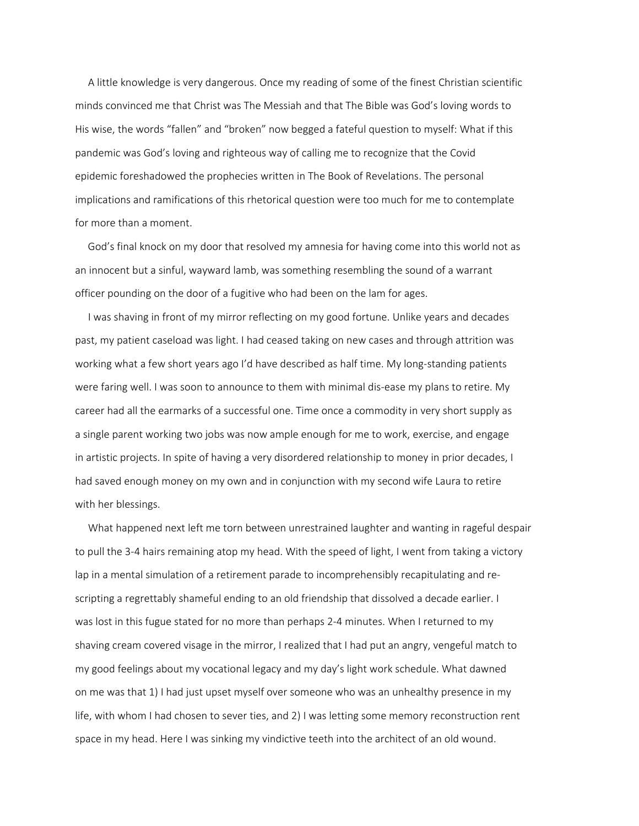A little knowledge is very dangerous. Once my reading of some of the finest Christian scientific minds convinced me that Christ was The Messiah and that The Bible was God's loving words to His wise, the words "fallen" and "broken" now begged a fateful question to myself: What if this pandemic was God's loving and righteous way of calling me to recognize that the Covid epidemic foreshadowed the prophecies written in The Book of Revelations. The personal implications and ramifications of this rhetorical question were too much for me to contemplate for more than a moment.

 God's final knock on my door that resolved my amnesia for having come into this world not as an innocent but a sinful, wayward lamb, was something resembling the sound of a warrant officer pounding on the door of a fugitive who had been on the lam for ages.

 I was shaving in front of my mirror reflecting on my good fortune. Unlike years and decades past, my patient caseload was light. I had ceased taking on new cases and through attrition was working what a few short years ago I'd have described as half time. My long-standing patients were faring well. I was soon to announce to them with minimal dis-ease my plans to retire. My career had all the earmarks of a successful one. Time once a commodity in very short supply as a single parent working two jobs was now ample enough for me to work, exercise, and engage in artistic projects. In spite of having a very disordered relationship to money in prior decades, I had saved enough money on my own and in conjunction with my second wife Laura to retire with her blessings.

 What happened next left me torn between unrestrained laughter and wanting in rageful despair to pull the 3-4 hairs remaining atop my head. With the speed of light, I went from taking a victory lap in a mental simulation of a retirement parade to incomprehensibly recapitulating and rescripting a regrettably shameful ending to an old friendship that dissolved a decade earlier. I was lost in this fugue stated for no more than perhaps 2-4 minutes. When I returned to my shaving cream covered visage in the mirror, I realized that I had put an angry, vengeful match to my good feelings about my vocational legacy and my day's light work schedule. What dawned on me was that 1) I had just upset myself over someone who was an unhealthy presence in my life, with whom I had chosen to sever ties, and 2) I was letting some memory reconstruction rent space in my head. Here I was sinking my vindictive teeth into the architect of an old wound.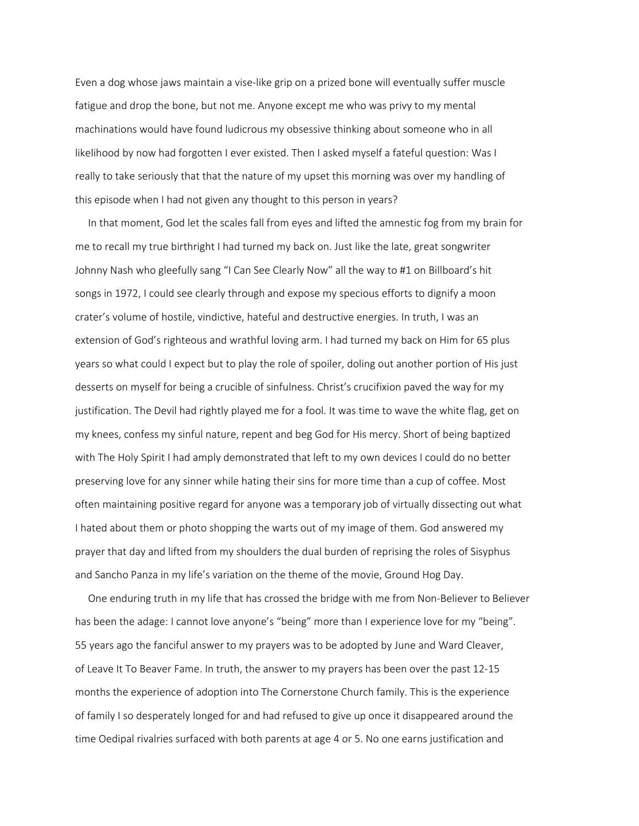Even a dog whose jaws maintain a vise-like grip on a prized bone will eventually suffer muscle fatigue and drop the bone, but not me. Anyone except me who was privy to my mental machinations would have found ludicrous my obsessive thinking about someone who in all likelihood by now had forgotten I ever existed. Then I asked myself a fateful question: Was I really to take seriously that that the nature of my upset this morning was over my handling of this episode when I had not given any thought to this person in years?

 In that moment, God let the scales fall from eyes and lifted the amnestic fog from my brain for me to recall my true birthright I had turned my back on. Just like the late, great songwriter Johnny Nash who gleefully sang "I Can See Clearly Now" all the way to #1 on Billboard's hit songs in 1972, I could see clearly through and expose my specious efforts to dignify a moon crater's volume of hostile, vindictive, hateful and destructive energies. In truth, I was an extension of God's righteous and wrathful loving arm. I had turned my back on Him for 65 plus years so what could I expect but to play the role of spoiler, doling out another portion of His just desserts on myself for being a crucible of sinfulness. Christ's crucifixion paved the way for my justification. The Devil had rightly played me for a fool. It was time to wave the white flag, get on my knees, confess my sinful nature, repent and beg God for His mercy. Short of being baptized with The Holy Spirit I had amply demonstrated that left to my own devices I could do no better preserving love for any sinner while hating their sins for more time than a cup of coffee. Most often maintaining positive regard for anyone was a temporary job of virtually dissecting out what I hated about them or photo shopping the warts out of my image of them. God answered my prayer that day and lifted from my shoulders the dual burden of reprising the roles of Sisyphus and Sancho Panza in my life's variation on the theme of the movie, Ground Hog Day.

 One enduring truth in my life that has crossed the bridge with me from Non-Believer to Believer has been the adage: I cannot love anyone's "being" more than I experience love for my "being". 55 years ago the fanciful answer to my prayers was to be adopted by June and Ward Cleaver, of Leave It To Beaver Fame. In truth, the answer to my prayers has been over the past 12-15 months the experience of adoption into The Cornerstone Church family. This is the experience of family I so desperately longed for and had refused to give up once it disappeared around the time Oedipal rivalries surfaced with both parents at age 4 or 5. No one earns justification and